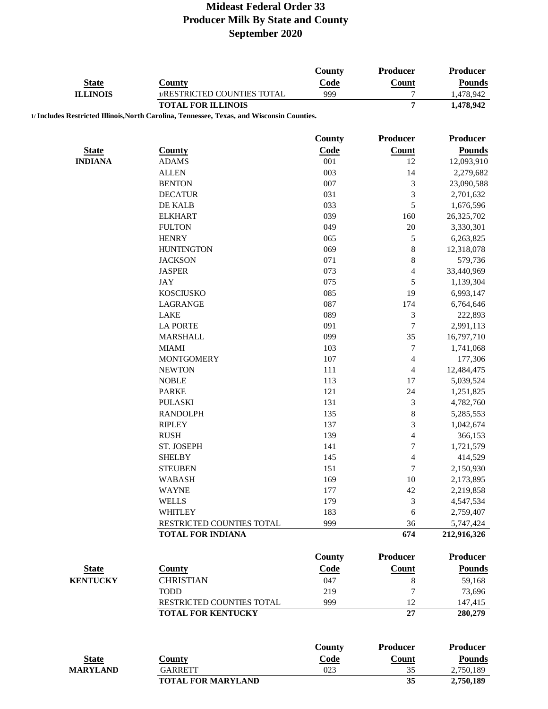|                 |                                                                                            | County        | Producer                    | <b>Producer</b> |
|-----------------|--------------------------------------------------------------------------------------------|---------------|-----------------------------|-----------------|
| <b>State</b>    | <b>County</b>                                                                              | Code          | Count                       | <b>Pounds</b>   |
| <b>ILLINOIS</b> | 1/RESTRICTED COUNTIES TOTAL                                                                | 999           | 7                           | 1,478,942       |
|                 | <b>TOTAL FOR ILLINOIS</b>                                                                  |               | $\overline{7}$              | 1,478,942       |
|                 | 1/ Includes Restricted Illinois, North Carolina, Tennessee, Texas, and Wisconsin Counties. |               |                             |                 |
|                 |                                                                                            |               |                             |                 |
|                 |                                                                                            | <b>County</b> | Producer                    | <b>Producer</b> |
| <b>State</b>    | <b>County</b>                                                                              | Code          | <b>Count</b>                | <b>Pounds</b>   |
| <b>INDIANA</b>  | <b>ADAMS</b>                                                                               | 001           | 12                          | 12,093,910      |
|                 | <b>ALLEN</b>                                                                               | 003           | 14                          | 2,279,682       |
|                 | <b>BENTON</b>                                                                              | 007           | 3                           | 23,090,588      |
|                 | <b>DECATUR</b>                                                                             | 031           | $\mathfrak{Z}$              | 2,701,632       |
|                 | DE KALB                                                                                    | 033           | 5                           | 1,676,596       |
|                 | <b>ELKHART</b>                                                                             | 039           | 160                         | 26,325,702      |
|                 | <b>FULTON</b>                                                                              | 049           | $20\,$                      | 3,330,301       |
|                 | <b>HENRY</b>                                                                               | 065           | $\mathfrak s$               | 6,263,825       |
|                 | <b>HUNTINGTON</b>                                                                          | 069           | $\,$ 8 $\,$                 | 12,318,078      |
|                 | <b>JACKSON</b>                                                                             | 071           | 8                           | 579,736         |
|                 | <b>JASPER</b>                                                                              | 073           | $\overline{4}$              | 33,440,969      |
|                 | <b>JAY</b>                                                                                 | 075           | 5                           | 1,139,304       |
|                 | <b>KOSCIUSKO</b>                                                                           | 085           | 19                          | 6,993,147       |
|                 | LAGRANGE                                                                                   | 087           | 174                         | 6,764,646       |
|                 | <b>LAKE</b>                                                                                | 089           | $\ensuremath{\mathfrak{Z}}$ | 222,893         |
|                 | <b>LA PORTE</b>                                                                            | 091           | $\tau$                      | 2,991,113       |
|                 | <b>MARSHALL</b>                                                                            | 099           | 35                          | 16,797,710      |
|                 | <b>MIAMI</b>                                                                               | 103           | $\boldsymbol{7}$            | 1,741,068       |
|                 | <b>MONTGOMERY</b>                                                                          | 107           | $\overline{4}$              | 177,306         |
|                 | <b>NEWTON</b>                                                                              | 111           | 4                           | 12,484,475      |
|                 | <b>NOBLE</b>                                                                               | 113           | 17                          | 5,039,524       |
|                 | <b>PARKE</b>                                                                               | 121           | 24                          | 1,251,825       |
|                 | <b>PULASKI</b>                                                                             | 131           | $\sqrt{3}$                  | 4,782,760       |
|                 | <b>RANDOLPH</b>                                                                            | 135           | $\,$ 8 $\,$                 | 5,285,553       |
|                 | <b>RIPLEY</b>                                                                              | 137           | $\mathfrak{Z}$              | 1,042,674       |
|                 | <b>RUSH</b>                                                                                | 139           | $\overline{4}$              | 366,153         |
|                 | ST. JOSEPH                                                                                 | 141           | $\sqrt{ }$                  | 1,721,579       |
|                 | <b>SHELBY</b>                                                                              | 145           | $\overline{4}$              | 414,529         |
|                 | <b>STEUBEN</b>                                                                             | 151           | 7                           | 2,150,930       |
|                 | <b>WABASH</b>                                                                              | 169           | 10                          | 2,173,895       |
|                 | <b>WAYNE</b>                                                                               | 177           | $42\,$                      | 2,219,858       |
|                 | <b>WELLS</b>                                                                               | 179           | $\mathfrak{Z}$              | 4,547,534       |
|                 | <b>WHITLEY</b>                                                                             | 183           | 6                           | 2,759,407       |
|                 | RESTRICTED COUNTIES TOTAL                                                                  | 999           | 36                          | 5,747,424       |
|                 | <b>TOTAL FOR INDIANA</b>                                                                   |               | 674                         | 212,916,326     |
|                 |                                                                                            |               |                             |                 |
|                 |                                                                                            | <b>County</b> | Producer                    | Producer        |
| <b>State</b>    | <b>County</b>                                                                              | <b>Code</b>   | <b>Count</b>                | <b>Pounds</b>   |
| <b>KENTUCKY</b> | <b>CHRISTIAN</b>                                                                           | 047           | $\,8\,$                     | 59,168          |
|                 | <b>TODD</b>                                                                                | 219           | $\overline{7}$              | 73,696          |
|                 | RESTRICTED COUNTIES TOTAL                                                                  | 999           | 12                          | 147,415         |
|                 | <b>TOTAL FOR KENTUCKY</b>                                                                  |               | 27                          | 280,279         |
|                 |                                                                                            |               |                             |                 |
|                 |                                                                                            | <b>County</b> | Producer                    | <b>Producer</b> |
| <b>State</b>    | <b>County</b>                                                                              | Code          | Count                       | <b>Pounds</b>   |
| <b>MARYLAND</b> | <b>GARRETT</b>                                                                             | 023           | 35                          | 2,750,189       |

**TOTAL FOR MARYLAND 35 2,750,189**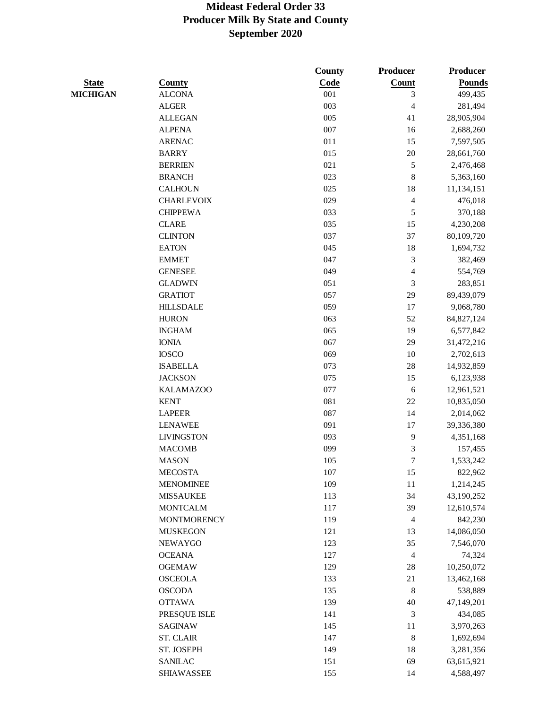|                 |                    | <b>County</b> | <b>Producer</b>             | Producer      |
|-----------------|--------------------|---------------|-----------------------------|---------------|
| <b>State</b>    | <b>County</b>      | Code          | <b>Count</b>                | <b>Pounds</b> |
| <b>MICHIGAN</b> | <b>ALCONA</b>      | 001           | 3                           | 499,435       |
|                 | <b>ALGER</b>       | 003           | $\overline{4}$              | 281,494       |
|                 | <b>ALLEGAN</b>     | 005           | 41                          | 28,905,904    |
|                 | <b>ALPENA</b>      | 007           | 16                          | 2,688,260     |
|                 | <b>ARENAC</b>      | 011           | 15                          | 7,597,505     |
|                 | <b>BARRY</b>       | 015           | 20                          | 28,661,760    |
|                 | <b>BERRIEN</b>     | 021           | 5                           | 2,476,468     |
|                 | <b>BRANCH</b>      | 023           | $\,$ 8 $\,$                 | 5,363,160     |
|                 | <b>CALHOUN</b>     | 025           | 18                          | 11,134,151    |
|                 | <b>CHARLEVOIX</b>  | 029           | $\sqrt{4}$                  | 476,018       |
|                 | <b>CHIPPEWA</b>    | 033           | 5                           | 370,188       |
|                 | <b>CLARE</b>       | 035           | 15                          | 4,230,208     |
|                 | <b>CLINTON</b>     | 037           | 37                          | 80,109,720    |
|                 | <b>EATON</b>       | 045           | 18                          | 1,694,732     |
|                 | <b>EMMET</b>       | 047           | $\ensuremath{\mathfrak{Z}}$ | 382,469       |
|                 | <b>GENESEE</b>     | 049           | $\overline{4}$              | 554,769       |
|                 | <b>GLADWIN</b>     | 051           | 3                           | 283,851       |
|                 | <b>GRATIOT</b>     | 057           | 29                          | 89,439,079    |
|                 | <b>HILLSDALE</b>   | 059           | $17\,$                      | 9,068,780     |
|                 | <b>HURON</b>       | 063           | 52                          | 84, 827, 124  |
|                 | <b>INGHAM</b>      | 065           | 19                          | 6,577,842     |
|                 | <b>IONIA</b>       | 067           | 29                          | 31,472,216    |
|                 | <b>IOSCO</b>       | 069           | 10                          | 2,702,613     |
|                 | <b>ISABELLA</b>    | 073           | 28                          | 14,932,859    |
|                 | <b>JACKSON</b>     | 075           | 15                          | 6,123,938     |
|                 | <b>KALAMAZOO</b>   | 077           | 6                           | 12,961,521    |
|                 | <b>KENT</b>        | 081           | 22                          | 10,835,050    |
|                 | <b>LAPEER</b>      | 087           | 14                          | 2,014,062     |
|                 | <b>LENAWEE</b>     | 091           | 17                          | 39,336,380    |
|                 | <b>LIVINGSTON</b>  | 093           | 9                           | 4,351,168     |
|                 | <b>MACOMB</b>      | 099           | 3                           | 157,455       |
|                 | <b>MASON</b>       | 105           | 7                           | 1,533,242     |
|                 | <b>MECOSTA</b>     | 107           | 15                          | 822,962       |
|                 | <b>MENOMINEE</b>   | 109           | $11\,$                      | 1,214,245     |
|                 | <b>MISSAUKEE</b>   | 113           | 34                          | 43,190,252    |
|                 | <b>MONTCALM</b>    | 117           | 39                          | 12,610,574    |
|                 | <b>MONTMORENCY</b> | 119           | $\overline{4}$              | 842,230       |
|                 | <b>MUSKEGON</b>    | 121           | 13                          | 14,086,050    |
|                 | <b>NEWAYGO</b>     | 123           | 35                          | 7,546,070     |
|                 | <b>OCEANA</b>      | 127           | $\overline{4}$              | 74,324        |
|                 | <b>OGEMAW</b>      | 129           | 28                          | 10,250,072    |
|                 | <b>OSCEOLA</b>     | 133           | 21                          | 13,462,168    |
|                 | <b>OSCODA</b>      | 135           | $8\phantom{1}$              | 538,889       |
|                 | <b>OTTAWA</b>      | 139           | 40                          | 47,149,201    |
|                 | PRESQUE ISLE       | 141           | 3                           | 434,085       |
|                 | <b>SAGINAW</b>     | 145           | 11                          | 3,970,263     |
|                 | <b>ST. CLAIR</b>   | 147           | $\,8\,$                     | 1,692,694     |
|                 | ST. JOSEPH         | 149           | 18                          | 3,281,356     |
|                 | <b>SANILAC</b>     | 151           | 69                          | 63,615,921    |
|                 | <b>SHIAWASSEE</b>  | 155           | 14                          | 4,588,497     |
|                 |                    |               |                             |               |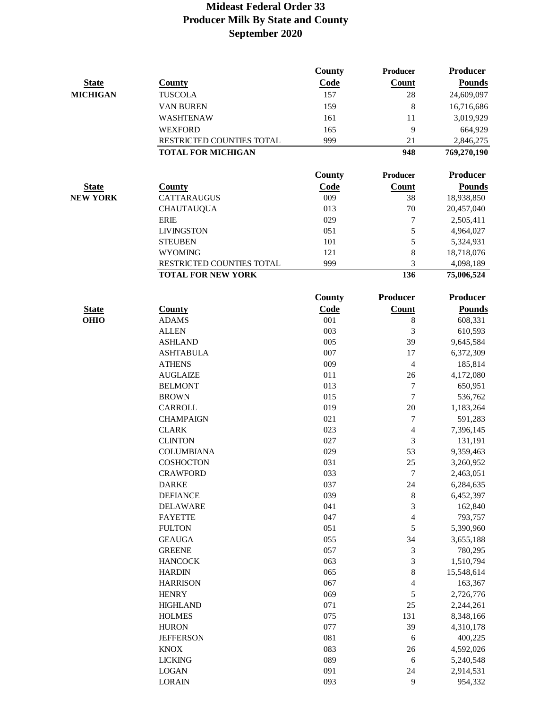|                 |                                                        | <b>County</b> | Producer         | <b>Producer</b>         |
|-----------------|--------------------------------------------------------|---------------|------------------|-------------------------|
| <b>State</b>    | <b>County</b>                                          | Code          | Count            | <b>Pounds</b>           |
| <b>MICHIGAN</b> | <b>TUSCOLA</b>                                         | 157           | 28               | 24,609,097              |
|                 | VAN BUREN                                              | 159           | 8                | 16,716,686              |
|                 | WASHTENAW                                              | 161           | 11               | 3,019,929               |
|                 | <b>WEXFORD</b>                                         | 165           | 9                | 664,929                 |
|                 | RESTRICTED COUNTIES TOTAL                              | 999           | 21               | 2,846,275               |
|                 | <b>TOTAL FOR MICHIGAN</b>                              |               | 948              | 769,270,190             |
|                 |                                                        |               |                  |                         |
|                 |                                                        | <b>County</b> | Producer         | <b>Producer</b>         |
| <b>State</b>    | <b>County</b>                                          | Code          | Count            | <b>Pounds</b>           |
| <b>NEW YORK</b> | <b>CATTARAUGUS</b>                                     | 009           | 38               | 18,938,850              |
|                 | <b>CHAUTAUQUA</b>                                      | 013           | 70               | 20,457,040              |
|                 | <b>ERIE</b>                                            | 029           | 7                | 2,505,411               |
|                 | <b>LIVINGSTON</b>                                      | 051           | 5                | 4,964,027               |
|                 | <b>STEUBEN</b>                                         | 101           | 5                | 5,324,931               |
|                 | <b>WYOMING</b>                                         | 121           | 8                | 18,718,076              |
|                 | RESTRICTED COUNTIES TOTAL<br><b>TOTAL FOR NEW YORK</b> | 999           | 3<br>136         | 4,098,189<br>75,006,524 |
|                 |                                                        |               |                  |                         |
|                 |                                                        | <b>County</b> | Producer         | Producer                |
| <b>State</b>    | <b>County</b>                                          | Code          | Count            | <b>Pounds</b>           |
| <b>OHIO</b>     | <b>ADAMS</b>                                           | 001           | 8                | 608,331                 |
|                 | <b>ALLEN</b>                                           | 003           | 3                | 610,593                 |
|                 | <b>ASHLAND</b>                                         | 005           | 39               | 9,645,584               |
|                 | <b>ASHTABULA</b>                                       | 007           | 17               | 6,372,309               |
|                 | <b>ATHENS</b>                                          | 009           | $\overline{4}$   | 185,814                 |
|                 | <b>AUGLAIZE</b>                                        | 011           | 26               | 4,172,080               |
|                 | <b>BELMONT</b>                                         | 013           | 7                | 650,951                 |
|                 | <b>BROWN</b>                                           | 015           | $\boldsymbol{7}$ | 536,762                 |
|                 | <b>CARROLL</b>                                         | 019           | $20\,$           | 1,183,264               |
|                 | <b>CHAMPAIGN</b>                                       | 021           | 7                | 591,283                 |
|                 | <b>CLARK</b>                                           | 023           | $\overline{4}$   | 7,396,145               |
|                 | <b>CLINTON</b>                                         | 027           | 3                | 131,191                 |
|                 | <b>COLUMBIANA</b>                                      | 029           | 53               | 9,359,463               |
|                 | <b>COSHOCTON</b>                                       | 031           | 25               | 3,260,952               |
|                 | <b>CRAWFORD</b>                                        | 033           | 7                | 2,463,051               |
|                 | <b>DARKE</b>                                           | 037           | 24               | 6,284,635               |
|                 | <b>DEFIANCE</b>                                        | 039           | 8                | 6,452,397               |
|                 | <b>DELAWARE</b>                                        | 041           | 3                | 162,840                 |
|                 | <b>FAYETTE</b>                                         | 047           | 4                | 793,757                 |
|                 | <b>FULTON</b>                                          | 051           | 5                | 5,390,960               |
|                 | <b>GEAUGA</b>                                          | 055           | 34               | 3,655,188               |
|                 | <b>GREENE</b>                                          | 057           | 3                | 780,295                 |
|                 | <b>HANCOCK</b>                                         | 063           | 3                | 1,510,794               |
|                 | <b>HARDIN</b>                                          | 065           | 8                | 15,548,614              |
|                 | <b>HARRISON</b>                                        | 067           | 4                | 163,367                 |
|                 | <b>HENRY</b>                                           | 069           | 5                | 2,726,776               |
|                 | <b>HIGHLAND</b>                                        | 071           | $25\,$           | 2,244,261               |
|                 | <b>HOLMES</b>                                          | 075           | 131              | 8,348,166               |
|                 | <b>HURON</b>                                           | 077           | 39               | 4,310,178               |
|                 | <b>JEFFERSON</b>                                       | 081           | 6                | 400,225                 |
|                 | <b>KNOX</b>                                            | 083           | $26\,$           | 4,592,026               |
|                 | <b>LICKING</b>                                         | 089           | 6                | 5,240,548               |
|                 | <b>LOGAN</b>                                           | 091           | 24               | 2,914,531               |
|                 | <b>LORAIN</b>                                          | 093           | 9                | 954,332                 |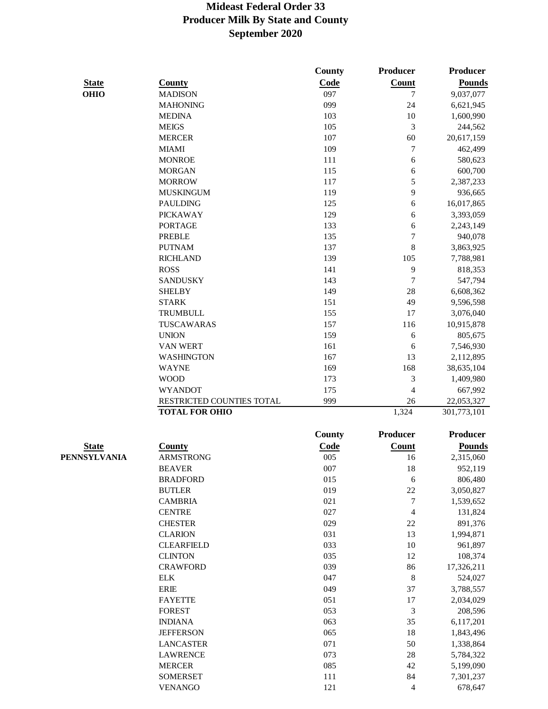|              |                           | County        | Producer        | Producer        |
|--------------|---------------------------|---------------|-----------------|-----------------|
| <b>State</b> | <b>County</b>             | Code          | Count           | <b>Pounds</b>   |
| <b>OHIO</b>  | <b>MADISON</b>            | 097           | 7               | 9,037,077       |
|              | <b>MAHONING</b>           | 099           | 24              | 6,621,945       |
|              | <b>MEDINA</b>             | 103           | 10              | 1,600,990       |
|              | <b>MEIGS</b>              | 105           | 3               | 244,562         |
|              | <b>MERCER</b>             | 107           | 60              | 20,617,159      |
|              | <b>MIAMI</b>              | 109           | 7               | 462,499         |
|              | <b>MONROE</b>             | 111           | $\epsilon$      | 580,623         |
|              | <b>MORGAN</b>             | 115           | $\epsilon$      | 600,700         |
|              | <b>MORROW</b>             | 117           | 5               | 2,387,233       |
|              | <b>MUSKINGUM</b>          | 119           | 9               | 936,665         |
|              | <b>PAULDING</b>           | 125           | 6               | 16,017,865      |
|              | <b>PICKAWAY</b>           | 129           | 6               | 3,393,059       |
|              | <b>PORTAGE</b>            | 133           | 6               | 2,243,149       |
|              | <b>PREBLE</b>             | 135           | 7               | 940,078         |
|              | <b>PUTNAM</b>             | 137           | 8               | 3,863,925       |
|              | <b>RICHLAND</b>           | 139           | 105             | 7,788,981       |
|              | <b>ROSS</b>               | 141           | 9               | 818,353         |
|              | <b>SANDUSKY</b>           | 143           | 7               | 547,794         |
|              | <b>SHELBY</b>             | 149           | 28              | 6,608,362       |
|              | <b>STARK</b>              | 151           | 49              | 9,596,598       |
|              | <b>TRUMBULL</b>           | 155           | 17              | 3,076,040       |
|              | TUSCAWARAS                | 157           | 116             | 10,915,878      |
|              | <b>UNION</b>              | 159           | 6               | 805,675         |
|              | <b>VAN WERT</b>           | 161           | 6               | 7,546,930       |
|              | <b>WASHINGTON</b>         | 167           | 13              | 2,112,895       |
|              | <b>WAYNE</b>              | 169           | 168             | 38,635,104      |
|              | <b>WOOD</b>               | 173           | 3               | 1,409,980       |
|              | <b>WYANDOT</b>            | 175           | 4               | 667,992         |
|              | RESTRICTED COUNTIES TOTAL | 999           | 26              | 22,053,327      |
|              | <b>TOTAL FOR OHIO</b>     |               | 1,324           | 301,773,101     |
|              |                           | <b>County</b> | <b>Producer</b> | <b>Producer</b> |
| <b>State</b> | <b>County</b>             | Code          | Count           | <b>Pounds</b>   |
| PENNSYLVANIA | <b>ARMSTRONG</b>          | 005           | 16              | 2,315,060       |
|              | <b>BEAVER</b>             | 007           | 18              | 952,119         |
|              | <b>BRADFORD</b>           | 015           | 6               | 806,480         |
|              | <b>BUTLER</b>             | 019           | $22\,$          | 3,050,827       |
|              | <b>CAMBRIA</b>            | 021           | 7               | 1,539,652       |
|              | <b>CENTRE</b>             | 027           | 4               | 131,824         |
|              | <b>CHESTER</b>            | 029           | 22              | 891,376         |
|              | <b>CLARION</b>            | 031           | 13              | 1,994,871       |
|              | <b>CLEARFIELD</b>         | 033           | 10              | 961,897         |
|              | <b>CLINTON</b>            | 035           | 12              | 108,374         |
|              | <b>CRAWFORD</b>           | 039           | 86              | 17,326,211      |
|              | <b>ELK</b>                | 047           | $\,$ 8 $\,$     | 524,027         |
|              | <b>ERIE</b>               | 049           | 37              | 3,788,557       |
|              | <b>FAYETTE</b>            | 051           | 17              | 2,034,029       |
|              | <b>FOREST</b>             | 053           | 3               | 208,596         |
|              | <b>INDIANA</b>            | 063           | 35              | 6,117,201       |
|              | <b>JEFFERSON</b>          | 065           | $18\,$          | 1,843,496       |
|              | <b>LANCASTER</b>          | 071           | 50              | 1,338,864       |
|              | <b>LAWRENCE</b>           | 073           | 28              | 5,784,322       |
|              | <b>MERCER</b>             | 085           | 42              | 5,199,090       |
|              | <b>SOMERSET</b>           | 111           | 84              | 7,301,237       |
|              | <b>VENANGO</b>            | 121           | $\overline{4}$  | 678,647         |
|              |                           |               |                 |                 |